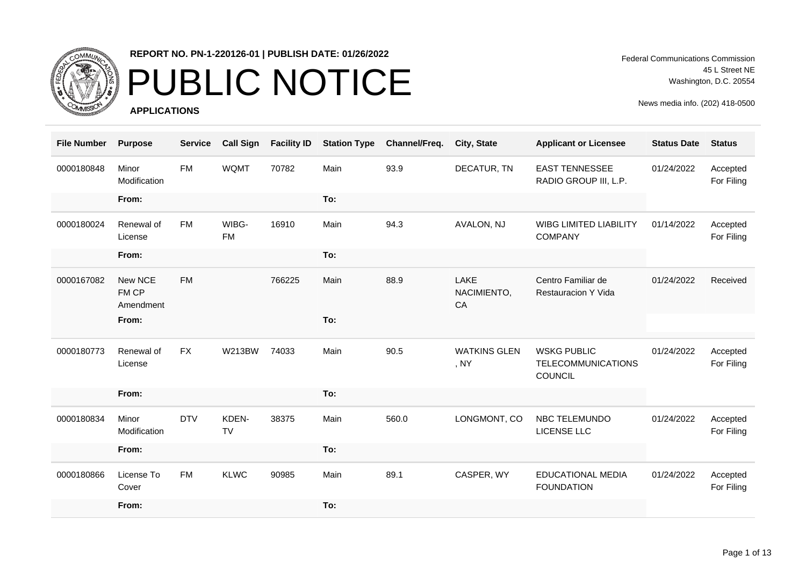

### PUBLIC NOTICE

**APPLICATIONS**

Federal Communications Commission 45 L Street NE Washington, D.C. 20554

| <b>File Number</b> | <b>Purpose</b>                | <b>Service</b> | <b>Call Sign</b>   | <b>Facility ID</b> | <b>Station Type</b> | Channel/Freq. | City, State                 | <b>Applicant or Licensee</b>                               | <b>Status Date</b> | <b>Status</b>          |
|--------------------|-------------------------------|----------------|--------------------|--------------------|---------------------|---------------|-----------------------------|------------------------------------------------------------|--------------------|------------------------|
| 0000180848         | Minor<br>Modification         | <b>FM</b>      | <b>WQMT</b>        | 70782              | Main                | 93.9          | DECATUR, TN                 | <b>EAST TENNESSEE</b><br>RADIO GROUP III, L.P.             | 01/24/2022         | Accepted<br>For Filing |
|                    | From:                         |                |                    |                    | To:                 |               |                             |                                                            |                    |                        |
| 0000180024         | Renewal of<br>License         | <b>FM</b>      | WIBG-<br><b>FM</b> | 16910              | Main                | 94.3          | AVALON, NJ                  | <b>WIBG LIMITED LIABILITY</b><br><b>COMPANY</b>            | 01/14/2022         | Accepted<br>For Filing |
|                    | From:                         |                |                    |                    | To:                 |               |                             |                                                            |                    |                        |
| 0000167082         | New NCE<br>FM CP<br>Amendment | <b>FM</b>      |                    | 766225             | Main                | 88.9          | LAKE<br>NACIMIENTO,<br>CA   | Centro Familiar de<br><b>Restauracion Y Vida</b>           | 01/24/2022         | Received               |
|                    | From:                         |                |                    |                    | To:                 |               |                             |                                                            |                    |                        |
| 0000180773         | Renewal of<br>License         | <b>FX</b>      | <b>W213BW</b>      | 74033              | Main                | 90.5          | <b>WATKINS GLEN</b><br>, NY | <b>WSKG PUBLIC</b><br><b>TELECOMMUNICATIONS</b><br>COUNCIL | 01/24/2022         | Accepted<br>For Filing |
|                    | From:                         |                |                    |                    | To:                 |               |                             |                                                            |                    |                        |
| 0000180834         | Minor<br>Modification         | <b>DTV</b>     | KDEN-<br><b>TV</b> | 38375              | Main                | 560.0         | LONGMONT, CO                | NBC TELEMUNDO<br>LICENSE LLC                               | 01/24/2022         | Accepted<br>For Filing |
|                    | From:                         |                |                    |                    | To:                 |               |                             |                                                            |                    |                        |
| 0000180866         | License To<br>Cover           | <b>FM</b>      | <b>KLWC</b>        | 90985              | Main                | 89.1          | CASPER, WY                  | <b>EDUCATIONAL MEDIA</b><br><b>FOUNDATION</b>              | 01/24/2022         | Accepted<br>For Filing |
|                    | From:                         |                |                    |                    | To:                 |               |                             |                                                            |                    |                        |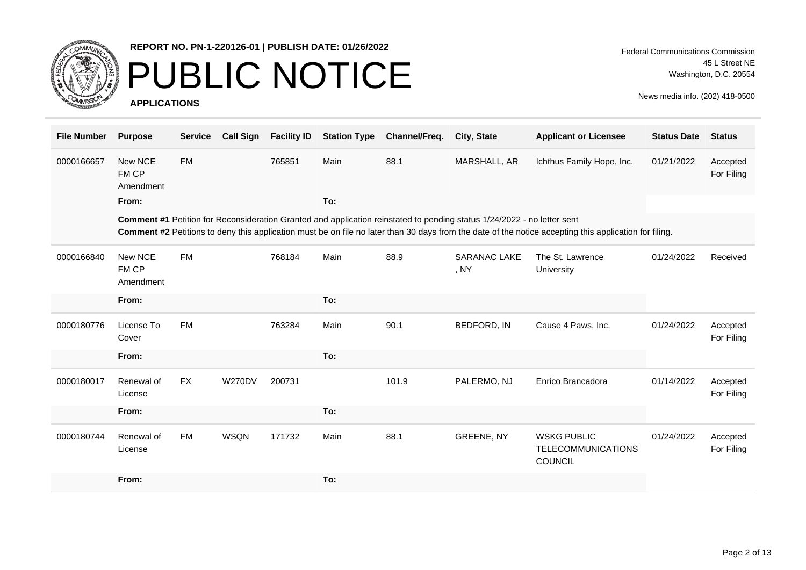

# PUBLIC NOTICE

**APPLICATIONS**

| <b>File Number</b> | <b>Purpose</b>                | <b>Service</b> | <b>Call Sign</b> | <b>Facility ID</b> | <b>Station Type</b> | Channel/Freq. | <b>City, State</b>                                                                                                      | <b>Applicant or Licensee</b>                                                                                                                           | <b>Status Date</b> | <b>Status</b>          |
|--------------------|-------------------------------|----------------|------------------|--------------------|---------------------|---------------|-------------------------------------------------------------------------------------------------------------------------|--------------------------------------------------------------------------------------------------------------------------------------------------------|--------------------|------------------------|
| 0000166657         | New NCE<br>FM CP<br>Amendment | <b>FM</b>      |                  | 765851             | Main                | 88.1          | MARSHALL, AR                                                                                                            | Ichthus Family Hope, Inc.                                                                                                                              | 01/21/2022         | Accepted<br>For Filing |
|                    | From:                         |                |                  |                    | To:                 |               |                                                                                                                         |                                                                                                                                                        |                    |                        |
|                    |                               |                |                  |                    |                     |               | Comment #1 Petition for Reconsideration Granted and application reinstated to pending status 1/24/2022 - no letter sent | Comment #2 Petitions to deny this application must be on file no later than 30 days from the date of the notice accepting this application for filing. |                    |                        |
| 0000166840         | New NCE<br>FM CP<br>Amendment | <b>FM</b>      |                  | 768184             | Main                | 88.9          | <b>SARANAC LAKE</b><br>, NY                                                                                             | The St. Lawrence<br>University                                                                                                                         | 01/24/2022         | Received               |
|                    | From:                         |                |                  |                    | To:                 |               |                                                                                                                         |                                                                                                                                                        |                    |                        |
| 0000180776         | License To<br>Cover           | <b>FM</b>      |                  | 763284             | Main                | 90.1          | BEDFORD, IN                                                                                                             | Cause 4 Paws, Inc.                                                                                                                                     | 01/24/2022         | Accepted<br>For Filing |
|                    | From:                         |                |                  |                    | To:                 |               |                                                                                                                         |                                                                                                                                                        |                    |                        |
| 0000180017         | Renewal of<br>License         | <b>FX</b>      | <b>W270DV</b>    | 200731             |                     | 101.9         | PALERMO, NJ                                                                                                             | Enrico Brancadora                                                                                                                                      | 01/14/2022         | Accepted<br>For Filing |
|                    | From:                         |                |                  |                    | To:                 |               |                                                                                                                         |                                                                                                                                                        |                    |                        |
| 0000180744         | Renewal of<br>License         | <b>FM</b>      | <b>WSQN</b>      | 171732             | Main                | 88.1          | GREENE, NY                                                                                                              | <b>WSKG PUBLIC</b><br><b>TELECOMMUNICATIONS</b><br><b>COUNCIL</b>                                                                                      | 01/24/2022         | Accepted<br>For Filing |
|                    | From:                         |                |                  |                    | To:                 |               |                                                                                                                         |                                                                                                                                                        |                    |                        |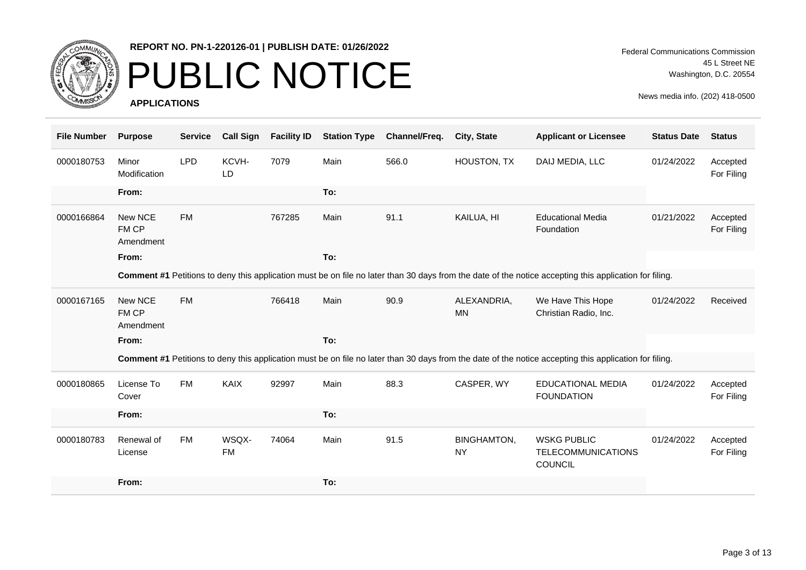

# PUBLIC NOTICE

**APPLICATIONS**

| <b>File Number</b> | <b>Purpose</b>                | <b>Service</b> | <b>Call Sign</b>   | <b>Facility ID</b> | <b>Station Type</b> | Channel/Freq. | City, State                     | <b>Applicant or Licensee</b>                                                                                                                           | <b>Status Date</b> | <b>Status</b>          |
|--------------------|-------------------------------|----------------|--------------------|--------------------|---------------------|---------------|---------------------------------|--------------------------------------------------------------------------------------------------------------------------------------------------------|--------------------|------------------------|
| 0000180753         | Minor<br>Modification         | <b>LPD</b>     | KCVH-<br>LD        | 7079               | Main                | 566.0         | HOUSTON, TX                     | DAIJ MEDIA, LLC                                                                                                                                        | 01/24/2022         | Accepted<br>For Filing |
|                    | From:                         |                |                    |                    | To:                 |               |                                 |                                                                                                                                                        |                    |                        |
| 0000166864         | New NCE<br>FM CP<br>Amendment | <b>FM</b>      |                    | 767285             | Main                | 91.1          | KAILUA, HI                      | <b>Educational Media</b><br>Foundation                                                                                                                 | 01/21/2022         | Accepted<br>For Filing |
|                    | From:                         |                |                    |                    | To:                 |               |                                 |                                                                                                                                                        |                    |                        |
|                    |                               |                |                    |                    |                     |               |                                 | Comment #1 Petitions to deny this application must be on file no later than 30 days from the date of the notice accepting this application for filing. |                    |                        |
| 0000167165         | New NCE<br>FM CP<br>Amendment | <b>FM</b>      |                    | 766418             | Main                | 90.9          | ALEXANDRIA,<br><b>MN</b>        | We Have This Hope<br>Christian Radio, Inc.                                                                                                             | 01/24/2022         | Received               |
|                    | From:                         |                |                    |                    | To:                 |               |                                 |                                                                                                                                                        |                    |                        |
|                    |                               |                |                    |                    |                     |               |                                 | Comment #1 Petitions to deny this application must be on file no later than 30 days from the date of the notice accepting this application for filing. |                    |                        |
| 0000180865         | License To<br>Cover           | <b>FM</b>      | <b>KAIX</b>        | 92997              | Main                | 88.3          | CASPER, WY                      | <b>EDUCATIONAL MEDIA</b><br><b>FOUNDATION</b>                                                                                                          | 01/24/2022         | Accepted<br>For Filing |
|                    | From:                         |                |                    |                    | To:                 |               |                                 |                                                                                                                                                        |                    |                        |
| 0000180783         | Renewal of<br>License         | <b>FM</b>      | WSQX-<br><b>FM</b> | 74064              | Main                | 91.5          | <b>BINGHAMTON,</b><br><b>NY</b> | <b>WSKG PUBLIC</b><br><b>TELECOMMUNICATIONS</b><br><b>COUNCIL</b>                                                                                      | 01/24/2022         | Accepted<br>For Filing |
|                    | From:                         |                |                    |                    | To:                 |               |                                 |                                                                                                                                                        |                    |                        |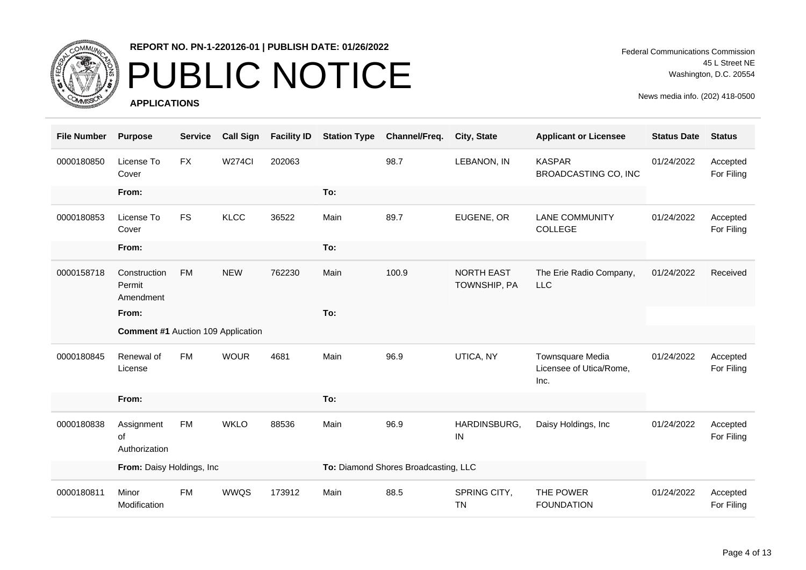

# PUBLIC NOTICE

**APPLICATIONS**

Federal Communications Commission 45 L Street NE Washington, D.C. 20554

| <b>File Number</b> | <b>Purpose</b>                            | <b>Service</b> | <b>Call Sign</b> | <b>Facility ID</b> | <b>Station Type</b> | Channel/Freq.                        | City, State                       | <b>Applicant or Licensee</b>                        | <b>Status Date</b> | <b>Status</b>          |
|--------------------|-------------------------------------------|----------------|------------------|--------------------|---------------------|--------------------------------------|-----------------------------------|-----------------------------------------------------|--------------------|------------------------|
| 0000180850         | License To<br>Cover                       | <b>FX</b>      | <b>W274CI</b>    | 202063             |                     | 98.7                                 | LEBANON, IN                       | <b>KASPAR</b><br>BROADCASTING CO, INC               | 01/24/2022         | Accepted<br>For Filing |
|                    | From:                                     |                |                  |                    | To:                 |                                      |                                   |                                                     |                    |                        |
| 0000180853         | License To<br>Cover                       | <b>FS</b>      | <b>KLCC</b>      | 36522              | Main                | 89.7                                 | EUGENE, OR                        | <b>LANE COMMUNITY</b><br>COLLEGE                    | 01/24/2022         | Accepted<br>For Filing |
|                    | From:                                     |                |                  |                    | To:                 |                                      |                                   |                                                     |                    |                        |
| 0000158718         | Construction<br>Permit<br>Amendment       | <b>FM</b>      | <b>NEW</b>       | 762230             | Main                | 100.9                                | <b>NORTH EAST</b><br>TOWNSHIP, PA | The Erie Radio Company,<br>LLC                      | 01/24/2022         | Received               |
|                    | From:                                     |                |                  |                    | To:                 |                                      |                                   |                                                     |                    |                        |
|                    | <b>Comment #1 Auction 109 Application</b> |                |                  |                    |                     |                                      |                                   |                                                     |                    |                        |
| 0000180845         | Renewal of<br>License                     | <b>FM</b>      | <b>WOUR</b>      | 4681               | Main                | 96.9                                 | UTICA, NY                         | Townsquare Media<br>Licensee of Utica/Rome,<br>Inc. | 01/24/2022         | Accepted<br>For Filing |
|                    | From:                                     |                |                  |                    | To:                 |                                      |                                   |                                                     |                    |                        |
| 0000180838         | Assignment<br>of<br>Authorization         | <b>FM</b>      | <b>WKLO</b>      | 88536              | Main                | 96.9                                 | HARDINSBURG,<br>IN                | Daisy Holdings, Inc                                 | 01/24/2022         | Accepted<br>For Filing |
|                    | From: Daisy Holdings, Inc.                |                |                  |                    |                     | To: Diamond Shores Broadcasting, LLC |                                   |                                                     |                    |                        |
| 0000180811         | Minor<br>Modification                     | <b>FM</b>      | <b>WWQS</b>      | 173912             | Main                | 88.5                                 | SPRING CITY,<br><b>TN</b>         | THE POWER<br><b>FOUNDATION</b>                      | 01/24/2022         | Accepted<br>For Filing |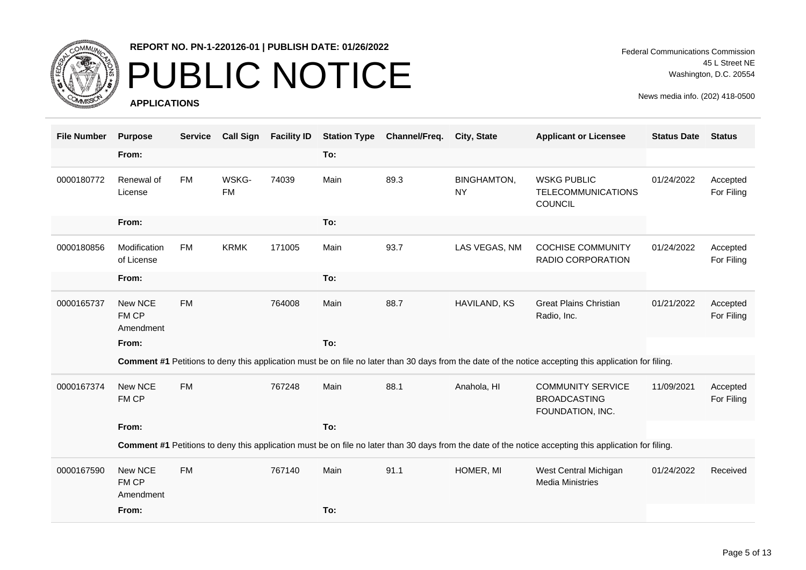

# PUBLIC NOTICE

**APPLICATIONS**

Federal Communications Commission 45 L Street NE Washington, D.C. 20554

| <b>File Number</b> | <b>Purpose</b>                | <b>Service</b> | <b>Call Sign</b>   | <b>Facility ID</b> | <b>Station Type</b> | Channel/Freq. | City, State                     | <b>Applicant or Licensee</b>                                                                                                                           | <b>Status Date</b> | <b>Status</b>          |
|--------------------|-------------------------------|----------------|--------------------|--------------------|---------------------|---------------|---------------------------------|--------------------------------------------------------------------------------------------------------------------------------------------------------|--------------------|------------------------|
|                    | From:                         |                |                    |                    | To:                 |               |                                 |                                                                                                                                                        |                    |                        |
| 0000180772         | Renewal of<br>License         | <b>FM</b>      | WSKG-<br><b>FM</b> | 74039              | Main                | 89.3          | <b>BINGHAMTON,</b><br><b>NY</b> | <b>WSKG PUBLIC</b><br><b>TELECOMMUNICATIONS</b><br>COUNCIL                                                                                             | 01/24/2022         | Accepted<br>For Filing |
|                    | From:                         |                |                    |                    | To:                 |               |                                 |                                                                                                                                                        |                    |                        |
| 0000180856         | Modification<br>of License    | <b>FM</b>      | <b>KRMK</b>        | 171005             | Main                | 93.7          | LAS VEGAS, NM                   | <b>COCHISE COMMUNITY</b><br>RADIO CORPORATION                                                                                                          | 01/24/2022         | Accepted<br>For Filing |
|                    | From:                         |                |                    |                    | To:                 |               |                                 |                                                                                                                                                        |                    |                        |
| 0000165737         | New NCE<br>FM CP<br>Amendment | <b>FM</b>      |                    | 764008             | Main                | 88.7          | HAVILAND, KS                    | <b>Great Plains Christian</b><br>Radio, Inc.                                                                                                           | 01/21/2022         | Accepted<br>For Filing |
|                    | From:                         |                |                    |                    | To:                 |               |                                 |                                                                                                                                                        |                    |                        |
|                    |                               |                |                    |                    |                     |               |                                 | Comment #1 Petitions to deny this application must be on file no later than 30 days from the date of the notice accepting this application for filing. |                    |                        |
| 0000167374         | New NCE<br>FM CP              | <b>FM</b>      |                    | 767248             | Main                | 88.1          | Anahola, HI                     | <b>COMMUNITY SERVICE</b><br><b>BROADCASTING</b><br>FOUNDATION, INC.                                                                                    | 11/09/2021         | Accepted<br>For Filing |
|                    | From:                         |                |                    |                    | To:                 |               |                                 |                                                                                                                                                        |                    |                        |
|                    |                               |                |                    |                    |                     |               |                                 | Comment #1 Petitions to deny this application must be on file no later than 30 days from the date of the notice accepting this application for filing. |                    |                        |
| 0000167590         | New NCE<br>FM CP<br>Amendment | <b>FM</b>      |                    | 767140             | Main                | 91.1          | HOMER, MI                       | West Central Michigan<br><b>Media Ministries</b>                                                                                                       | 01/24/2022         | Received               |
|                    | From:                         |                |                    |                    | To:                 |               |                                 |                                                                                                                                                        |                    |                        |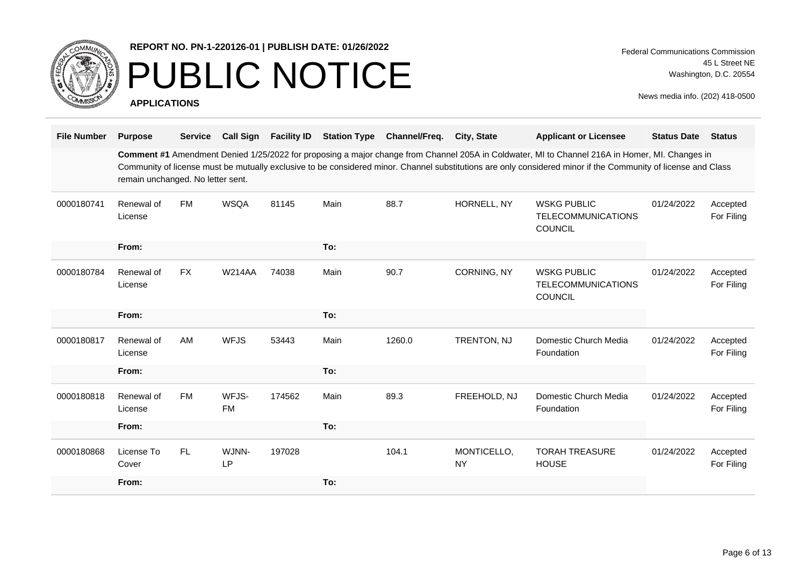

**APPLICATIONS**

### **REPORT NO. PN-1-220126-01 | PUBLISH DATE: 01/26/2022** PUBLIC NOTICE

Federal Communications Commission 45 L Street NE Washington, D.C. 20554

| <b>File Number</b> | <b>Purpose</b>                    | <b>Service</b> | <b>Call Sign</b>   | <b>Facility ID</b> | <b>Station Type</b> | Channel/Freq. | <b>City, State</b>       | <b>Applicant or Licensee</b>                                                                                                                                                                                                                                                                                    | <b>Status Date</b> | <b>Status</b>          |
|--------------------|-----------------------------------|----------------|--------------------|--------------------|---------------------|---------------|--------------------------|-----------------------------------------------------------------------------------------------------------------------------------------------------------------------------------------------------------------------------------------------------------------------------------------------------------------|--------------------|------------------------|
|                    | remain unchanged. No letter sent. |                |                    |                    |                     |               |                          | Comment #1 Amendment Denied 1/25/2022 for proposing a major change from Channel 205A in Coldwater, MI to Channel 216A in Homer, MI. Changes in<br>Community of license must be mutually exclusive to be considered minor. Channel substitutions are only considered minor if the Community of license and Class |                    |                        |
| 0000180741         | Renewal of<br>License             | <b>FM</b>      | <b>WSQA</b>        | 81145              | Main                | 88.7          | HORNELL, NY              | <b>WSKG PUBLIC</b><br><b>TELECOMMUNICATIONS</b><br><b>COUNCIL</b>                                                                                                                                                                                                                                               | 01/24/2022         | Accepted<br>For Filing |
|                    | From:                             |                |                    |                    | To:                 |               |                          |                                                                                                                                                                                                                                                                                                                 |                    |                        |
| 0000180784         | Renewal of<br>License             | <b>FX</b>      | <b>W214AA</b>      | 74038              | Main                | 90.7          | CORNING, NY              | <b>WSKG PUBLIC</b><br><b>TELECOMMUNICATIONS</b><br>COUNCIL                                                                                                                                                                                                                                                      | 01/24/2022         | Accepted<br>For Filing |
|                    | From:                             |                |                    |                    | To:                 |               |                          |                                                                                                                                                                                                                                                                                                                 |                    |                        |
| 0000180817         | Renewal of<br>License             | AM             | <b>WFJS</b>        | 53443              | Main                | 1260.0        | TRENTON, NJ              | Domestic Church Media<br>Foundation                                                                                                                                                                                                                                                                             | 01/24/2022         | Accepted<br>For Filing |
|                    | From:                             |                |                    |                    | To:                 |               |                          |                                                                                                                                                                                                                                                                                                                 |                    |                        |
| 0000180818         | Renewal of<br>License             | <b>FM</b>      | WFJS-<br><b>FM</b> | 174562             | Main                | 89.3          | FREEHOLD, NJ             | Domestic Church Media<br>Foundation                                                                                                                                                                                                                                                                             | 01/24/2022         | Accepted<br>For Filing |
|                    | From:                             |                |                    |                    | To:                 |               |                          |                                                                                                                                                                                                                                                                                                                 |                    |                        |
| 0000180868         | License To<br>Cover               | FL.            | WJNN-<br><b>LP</b> | 197028             |                     | 104.1         | MONTICELLO,<br><b>NY</b> | <b>TORAH TREASURE</b><br><b>HOUSE</b>                                                                                                                                                                                                                                                                           | 01/24/2022         | Accepted<br>For Filing |
|                    | From:                             |                |                    |                    | To:                 |               |                          |                                                                                                                                                                                                                                                                                                                 |                    |                        |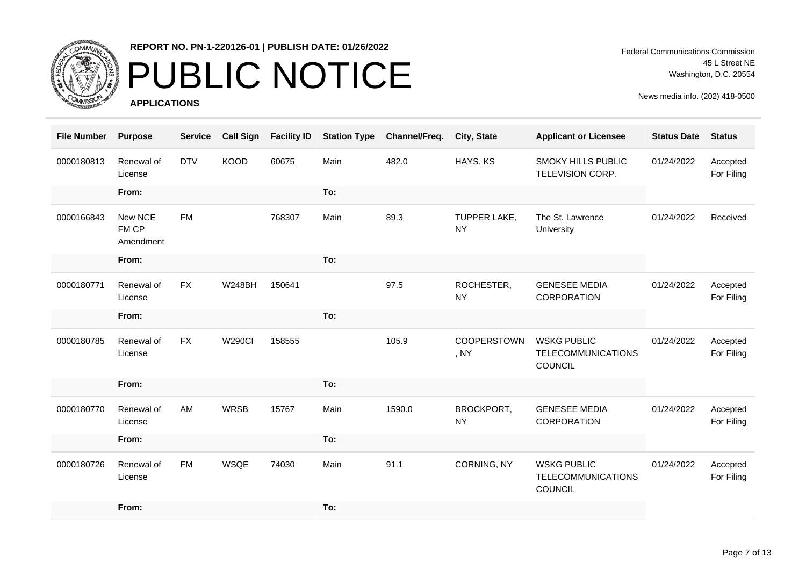

# PUBLIC NOTICE

**APPLICATIONS**

Federal Communications Commission 45 L Street NE Washington, D.C. 20554

| <b>File Number</b> | <b>Purpose</b>                | <b>Service</b> | <b>Call Sign</b> | <b>Facility ID</b> | <b>Station Type</b> | Channel/Freq. | City, State               | <b>Applicant or Licensee</b>                                      | <b>Status Date</b> | <b>Status</b>          |
|--------------------|-------------------------------|----------------|------------------|--------------------|---------------------|---------------|---------------------------|-------------------------------------------------------------------|--------------------|------------------------|
| 0000180813         | Renewal of<br>License         | <b>DTV</b>     | <b>KOOD</b>      | 60675              | Main                | 482.0         | HAYS, KS                  | <b>SMOKY HILLS PUBLIC</b><br>TELEVISION CORP.                     | 01/24/2022         | Accepted<br>For Filing |
|                    | From:                         |                |                  |                    | To:                 |               |                           |                                                                   |                    |                        |
| 0000166843         | New NCE<br>FM CP<br>Amendment | <b>FM</b>      |                  | 768307             | Main                | 89.3          | TUPPER LAKE,<br><b>NY</b> | The St. Lawrence<br>University                                    | 01/24/2022         | Received               |
|                    | From:                         |                |                  |                    | To:                 |               |                           |                                                                   |                    |                        |
| 0000180771         | Renewal of<br>License         | <b>FX</b>      | <b>W248BH</b>    | 150641             |                     | 97.5          | ROCHESTER,<br><b>NY</b>   | <b>GENESEE MEDIA</b><br><b>CORPORATION</b>                        | 01/24/2022         | Accepted<br>For Filing |
|                    | From:                         |                |                  |                    | To:                 |               |                           |                                                                   |                    |                        |
| 0000180785         | Renewal of<br>License         | <b>FX</b>      | <b>W290CI</b>    | 158555             |                     | 105.9         | COOPERSTOWN<br>, NY       | <b>WSKG PUBLIC</b><br><b>TELECOMMUNICATIONS</b><br><b>COUNCIL</b> | 01/24/2022         | Accepted<br>For Filing |
|                    | From:                         |                |                  |                    | To:                 |               |                           |                                                                   |                    |                        |
| 0000180770         | Renewal of<br>License         | AM             | <b>WRSB</b>      | 15767              | Main                | 1590.0        | BROCKPORT,<br><b>NY</b>   | <b>GENESEE MEDIA</b><br><b>CORPORATION</b>                        | 01/24/2022         | Accepted<br>For Filing |
|                    | From:                         |                |                  |                    | To:                 |               |                           |                                                                   |                    |                        |
| 0000180726         | Renewal of<br>License         | <b>FM</b>      | <b>WSQE</b>      | 74030              | Main                | 91.1          | CORNING, NY               | <b>WSKG PUBLIC</b><br><b>TELECOMMUNICATIONS</b><br><b>COUNCIL</b> | 01/24/2022         | Accepted<br>For Filing |
|                    | From:                         |                |                  |                    | To:                 |               |                           |                                                                   |                    |                        |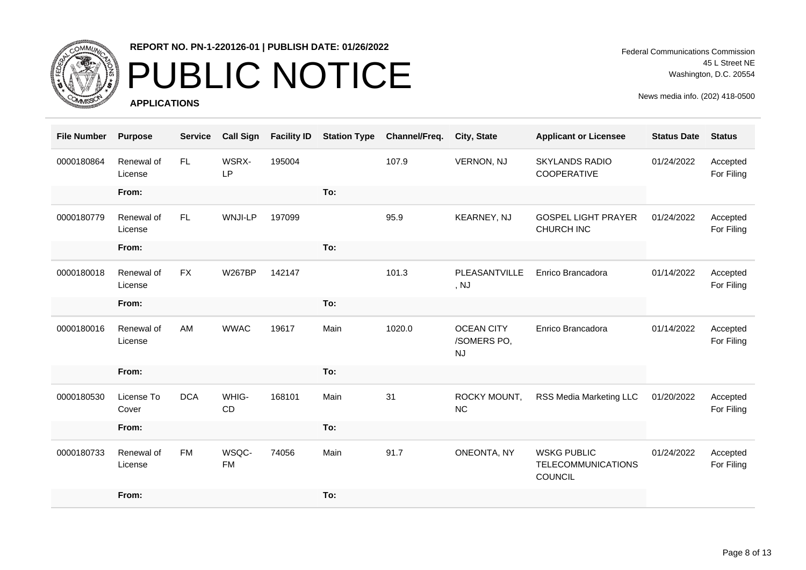

# PUBLIC NOTICE

**APPLICATIONS**

Federal Communications Commission 45 L Street NE Washington, D.C. 20554

| <b>File Number</b> | <b>Purpose</b>        | <b>Service</b> | <b>Call Sign</b>   | <b>Facility ID</b> | <b>Station Type</b> | Channel/Freq. | City, State                                   | <b>Applicant or Licensee</b>                               | <b>Status Date</b> | <b>Status</b>          |
|--------------------|-----------------------|----------------|--------------------|--------------------|---------------------|---------------|-----------------------------------------------|------------------------------------------------------------|--------------------|------------------------|
| 0000180864         | Renewal of<br>License | FL.            | WSRX-<br><b>LP</b> | 195004             |                     | 107.9         | VERNON, NJ                                    | <b>SKYLANDS RADIO</b><br>COOPERATIVE                       | 01/24/2022         | Accepted<br>For Filing |
|                    | From:                 |                |                    |                    | To:                 |               |                                               |                                                            |                    |                        |
| 0000180779         | Renewal of<br>License | FL.            | WNJI-LP            | 197099             |                     | 95.9          | KEARNEY, NJ                                   | <b>GOSPEL LIGHT PRAYER</b><br>CHURCH INC                   | 01/24/2022         | Accepted<br>For Filing |
|                    | From:                 |                |                    |                    | To:                 |               |                                               |                                                            |                    |                        |
| 0000180018         | Renewal of<br>License | <b>FX</b>      | <b>W267BP</b>      | 142147             |                     | 101.3         | PLEASANTVILLE<br>, NJ                         | Enrico Brancadora                                          | 01/14/2022         | Accepted<br>For Filing |
|                    | From:                 |                |                    |                    | To:                 |               |                                               |                                                            |                    |                        |
| 0000180016         | Renewal of<br>License | AM             | <b>WWAC</b>        | 19617              | Main                | 1020.0        | <b>OCEAN CITY</b><br>/SOMERS PO,<br><b>NJ</b> | Enrico Brancadora                                          | 01/14/2022         | Accepted<br>For Filing |
|                    | From:                 |                |                    |                    | To:                 |               |                                               |                                                            |                    |                        |
| 0000180530         | License To<br>Cover   | <b>DCA</b>     | WHIG-<br>CD        | 168101             | Main                | 31            | ROCKY MOUNT,<br><b>NC</b>                     | RSS Media Marketing LLC                                    | 01/20/2022         | Accepted<br>For Filing |
|                    | From:                 |                |                    |                    | To:                 |               |                                               |                                                            |                    |                        |
| 0000180733         | Renewal of<br>License | <b>FM</b>      | WSQC-<br><b>FM</b> | 74056              | Main                | 91.7          | ONEONTA, NY                                   | <b>WSKG PUBLIC</b><br><b>TELECOMMUNICATIONS</b><br>COUNCIL | 01/24/2022         | Accepted<br>For Filing |
|                    | From:                 |                |                    |                    | To:                 |               |                                               |                                                            |                    |                        |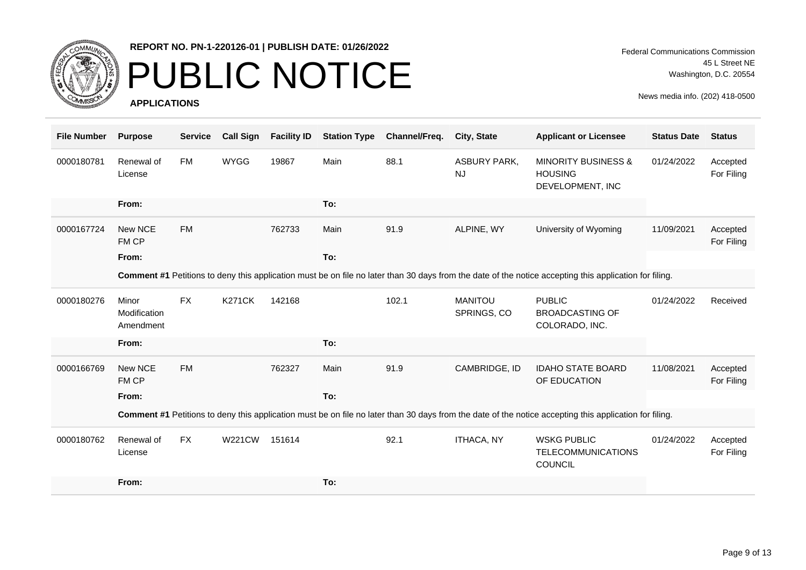

### PUBLIC NOTICE

**APPLICATIONS**

| <b>File Number</b> | <b>Purpose</b>                     | <b>Service</b> | <b>Call Sign</b> | <b>Facility ID</b> | <b>Station Type</b> | Channel/Freq. | <b>City, State</b>            | <b>Applicant or Licensee</b>                                                                                                                           | <b>Status Date</b> | <b>Status</b>          |
|--------------------|------------------------------------|----------------|------------------|--------------------|---------------------|---------------|-------------------------------|--------------------------------------------------------------------------------------------------------------------------------------------------------|--------------------|------------------------|
| 0000180781         | Renewal of<br>License              | <b>FM</b>      | <b>WYGG</b>      | 19867              | Main                | 88.1          | ASBURY PARK,<br><b>NJ</b>     | <b>MINORITY BUSINESS &amp;</b><br><b>HOUSING</b><br>DEVELOPMENT, INC                                                                                   | 01/24/2022         | Accepted<br>For Filing |
|                    | From:                              |                |                  |                    | To:                 |               |                               |                                                                                                                                                        |                    |                        |
| 0000167724         | New NCE<br>FM CP                   | <b>FM</b>      |                  | 762733             | Main                | 91.9          | ALPINE, WY                    | University of Wyoming                                                                                                                                  | 11/09/2021         | Accepted<br>For Filing |
|                    | From:                              |                |                  |                    | To:                 |               |                               |                                                                                                                                                        |                    |                        |
|                    |                                    |                |                  |                    |                     |               |                               | Comment #1 Petitions to deny this application must be on file no later than 30 days from the date of the notice accepting this application for filing. |                    |                        |
| 0000180276         | Minor<br>Modification<br>Amendment | <b>FX</b>      | <b>K271CK</b>    | 142168             |                     | 102.1         | <b>MANITOU</b><br>SPRINGS, CO | <b>PUBLIC</b><br><b>BROADCASTING OF</b><br>COLORADO, INC.                                                                                              | 01/24/2022         | Received               |
|                    | From:                              |                |                  |                    | To:                 |               |                               |                                                                                                                                                        |                    |                        |
| 0000166769         | New NCE<br>FM CP                   | <b>FM</b>      |                  | 762327             | Main                | 91.9          | CAMBRIDGE, ID                 | <b>IDAHO STATE BOARD</b><br>OF EDUCATION                                                                                                               | 11/08/2021         | Accepted<br>For Filing |
|                    | From:                              |                |                  |                    | To:                 |               |                               |                                                                                                                                                        |                    |                        |
|                    |                                    |                |                  |                    |                     |               |                               | Comment #1 Petitions to deny this application must be on file no later than 30 days from the date of the notice accepting this application for filing. |                    |                        |
| 0000180762         | Renewal of<br>License              | <b>FX</b>      | <b>W221CW</b>    | 151614             |                     | 92.1          | ITHACA, NY                    | <b>WSKG PUBLIC</b><br><b>TELECOMMUNICATIONS</b><br><b>COUNCIL</b>                                                                                      | 01/24/2022         | Accepted<br>For Filing |
|                    | From:                              |                |                  |                    | To:                 |               |                               |                                                                                                                                                        |                    |                        |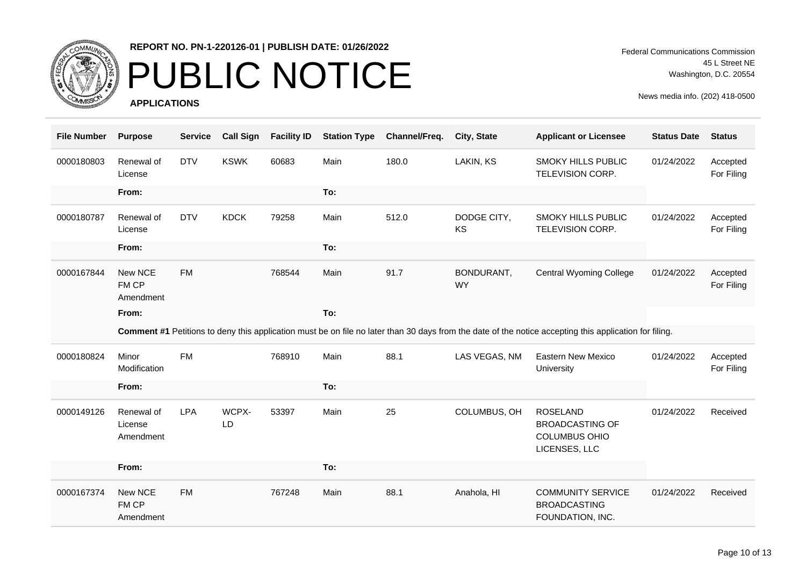

# PUBLIC NOTICE

**APPLICATIONS**

| <b>File Number</b> | <b>Purpose</b>                     | <b>Service</b> | <b>Call Sign</b> | <b>Facility ID</b> | <b>Station Type</b> | Channel/Freq. | <b>City, State</b>      | <b>Applicant or Licensee</b>                                                                                                                           | <b>Status Date</b> | <b>Status</b>          |
|--------------------|------------------------------------|----------------|------------------|--------------------|---------------------|---------------|-------------------------|--------------------------------------------------------------------------------------------------------------------------------------------------------|--------------------|------------------------|
| 0000180803         | Renewal of<br>License              | <b>DTV</b>     | <b>KSWK</b>      | 60683              | Main                | 180.0         | LAKIN, KS               | <b>SMOKY HILLS PUBLIC</b><br>TELEVISION CORP.                                                                                                          | 01/24/2022         | Accepted<br>For Filing |
|                    | From:                              |                |                  |                    | To:                 |               |                         |                                                                                                                                                        |                    |                        |
| 0000180787         | Renewal of<br>License              | <b>DTV</b>     | <b>KDCK</b>      | 79258              | Main                | 512.0         | DODGE CITY,<br>KS       | <b>SMOKY HILLS PUBLIC</b><br>TELEVISION CORP.                                                                                                          | 01/24/2022         | Accepted<br>For Filing |
|                    | From:                              |                |                  |                    | To:                 |               |                         |                                                                                                                                                        |                    |                        |
| 0000167844         | New NCE<br>FM CP<br>Amendment      | <b>FM</b>      |                  | 768544             | Main                | 91.7          | BONDURANT,<br><b>WY</b> | <b>Central Wyoming College</b>                                                                                                                         | 01/24/2022         | Accepted<br>For Filing |
|                    | From:                              |                |                  |                    | To:                 |               |                         |                                                                                                                                                        |                    |                        |
|                    |                                    |                |                  |                    |                     |               |                         | Comment #1 Petitions to deny this application must be on file no later than 30 days from the date of the notice accepting this application for filing. |                    |                        |
| 0000180824         | Minor<br>Modification              | <b>FM</b>      |                  | 768910             | Main                | 88.1          | LAS VEGAS, NM           | <b>Eastern New Mexico</b><br>University                                                                                                                | 01/24/2022         | Accepted<br>For Filing |
|                    | From:                              |                |                  |                    | To:                 |               |                         |                                                                                                                                                        |                    |                        |
| 0000149126         | Renewal of<br>License<br>Amendment | <b>LPA</b>     | WCPX-<br>LD      | 53397              | Main                | 25            | COLUMBUS, OH            | <b>ROSELAND</b><br><b>BROADCASTING OF</b><br><b>COLUMBUS OHIO</b><br>LICENSES, LLC                                                                     | 01/24/2022         | Received               |
|                    | From:                              |                |                  |                    | To:                 |               |                         |                                                                                                                                                        |                    |                        |
| 0000167374         | New NCE<br>FM CP<br>Amendment      | <b>FM</b>      |                  | 767248             | Main                | 88.1          | Anahola, HI             | <b>COMMUNITY SERVICE</b><br><b>BROADCASTING</b><br>FOUNDATION, INC.                                                                                    | 01/24/2022         | Received               |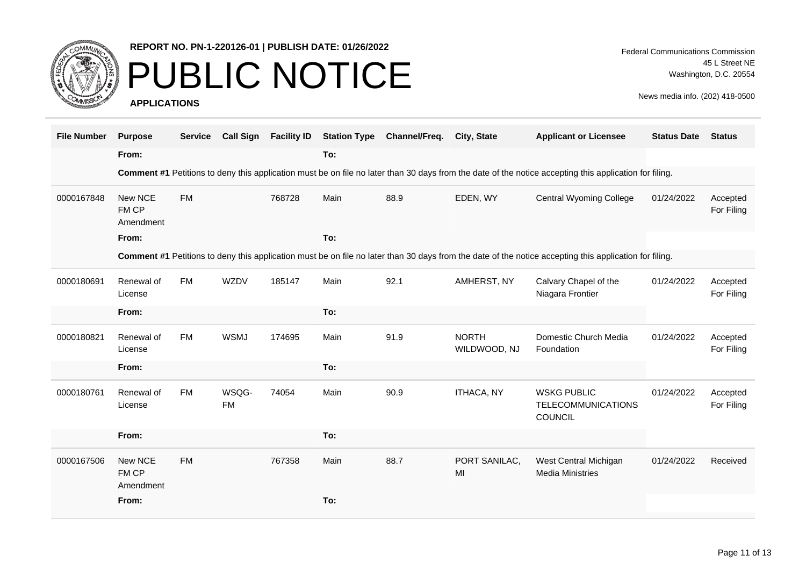

### PUBLIC NOTICE

**APPLICATIONS**

Federal Communications Commission 45 L Street NE Washington, D.C. 20554

| <b>File Number</b> | <b>Purpose</b>                | <b>Service</b> | <b>Call Sign</b>   | <b>Facility ID</b> | <b>Station Type</b> | Channel/Freq. | City, State                  | <b>Applicant or Licensee</b>                                                                                                                           | <b>Status Date</b> | <b>Status</b>          |
|--------------------|-------------------------------|----------------|--------------------|--------------------|---------------------|---------------|------------------------------|--------------------------------------------------------------------------------------------------------------------------------------------------------|--------------------|------------------------|
|                    | From:                         |                |                    |                    | To:                 |               |                              |                                                                                                                                                        |                    |                        |
|                    |                               |                |                    |                    |                     |               |                              | Comment #1 Petitions to deny this application must be on file no later than 30 days from the date of the notice accepting this application for filing. |                    |                        |
| 0000167848         | New NCE<br>FM CP<br>Amendment | <b>FM</b>      |                    | 768728             | Main                | 88.9          | EDEN, WY                     | <b>Central Wyoming College</b>                                                                                                                         | 01/24/2022         | Accepted<br>For Filing |
|                    | From:                         |                |                    |                    | To:                 |               |                              |                                                                                                                                                        |                    |                        |
|                    |                               |                |                    |                    |                     |               |                              | Comment #1 Petitions to deny this application must be on file no later than 30 days from the date of the notice accepting this application for filing. |                    |                        |
| 0000180691         | Renewal of<br>License         | <b>FM</b>      | WZDV               | 185147             | Main                | 92.1          | AMHERST, NY                  | Calvary Chapel of the<br>Niagara Frontier                                                                                                              | 01/24/2022         | Accepted<br>For Filing |
|                    | From:                         |                |                    |                    | To:                 |               |                              |                                                                                                                                                        |                    |                        |
| 0000180821         | Renewal of<br>License         | <b>FM</b>      | <b>WSMJ</b>        | 174695             | Main                | 91.9          | <b>NORTH</b><br>WILDWOOD, NJ | Domestic Church Media<br>Foundation                                                                                                                    | 01/24/2022         | Accepted<br>For Filing |
|                    | From:                         |                |                    |                    | To:                 |               |                              |                                                                                                                                                        |                    |                        |
| 0000180761         | Renewal of<br>License         | <b>FM</b>      | WSQG-<br><b>FM</b> | 74054              | Main                | 90.9          | ITHACA, NY                   | <b>WSKG PUBLIC</b><br><b>TELECOMMUNICATIONS</b><br><b>COUNCIL</b>                                                                                      | 01/24/2022         | Accepted<br>For Filing |
|                    | From:                         |                |                    |                    | To:                 |               |                              |                                                                                                                                                        |                    |                        |
| 0000167506         | New NCE<br>FM CP<br>Amendment | <b>FM</b>      |                    | 767358             | Main                | 88.7          | PORT SANILAC.<br>MI          | West Central Michigan<br><b>Media Ministries</b>                                                                                                       | 01/24/2022         | Received               |
|                    | From:                         |                |                    |                    | To:                 |               |                              |                                                                                                                                                        |                    |                        |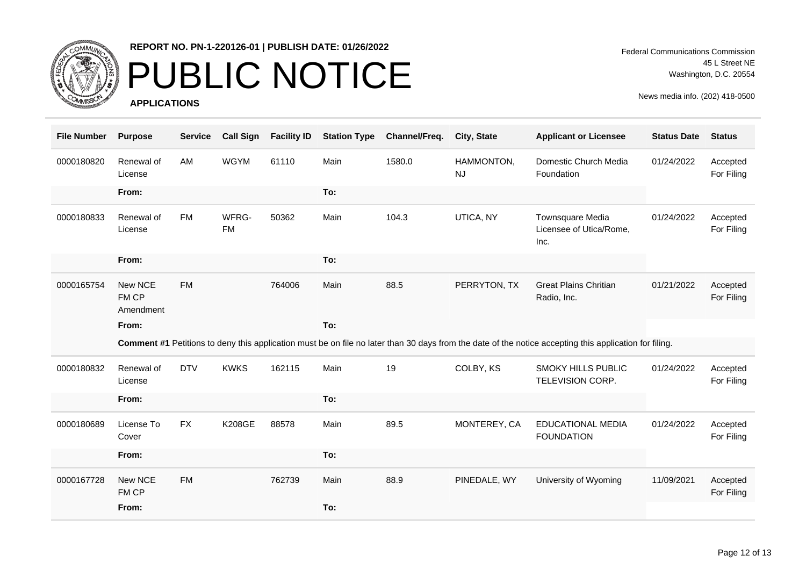

# PUBLIC NOTICE

**APPLICATIONS**

Federal Communications Commission 45 L Street NE Washington, D.C. 20554

| <b>File Number</b> | <b>Purpose</b>                | <b>Service</b> | <b>Call Sign</b>   | <b>Facility ID</b> | <b>Station Type</b> | Channel/Freq. | City, State             | <b>Applicant or Licensee</b>                                                                                                                           | <b>Status Date</b> | <b>Status</b>          |
|--------------------|-------------------------------|----------------|--------------------|--------------------|---------------------|---------------|-------------------------|--------------------------------------------------------------------------------------------------------------------------------------------------------|--------------------|------------------------|
| 0000180820         | Renewal of<br>License         | AM             | <b>WGYM</b>        | 61110              | Main                | 1580.0        | HAMMONTON,<br><b>NJ</b> | Domestic Church Media<br>Foundation                                                                                                                    | 01/24/2022         | Accepted<br>For Filing |
|                    | From:                         |                |                    |                    | To:                 |               |                         |                                                                                                                                                        |                    |                        |
| 0000180833         | Renewal of<br>License         | <b>FM</b>      | WFRG-<br><b>FM</b> | 50362              | Main                | 104.3         | UTICA, NY               | Townsquare Media<br>Licensee of Utica/Rome,<br>Inc.                                                                                                    | 01/24/2022         | Accepted<br>For Filing |
|                    | From:                         |                |                    |                    | To:                 |               |                         |                                                                                                                                                        |                    |                        |
| 0000165754         | New NCE<br>FM CP<br>Amendment | <b>FM</b>      |                    | 764006             | Main                | 88.5          | PERRYTON, TX            | <b>Great Plains Chritian</b><br>Radio, Inc.                                                                                                            | 01/21/2022         | Accepted<br>For Filing |
|                    | From:                         |                |                    |                    | To:                 |               |                         |                                                                                                                                                        |                    |                        |
|                    |                               |                |                    |                    |                     |               |                         | Comment #1 Petitions to deny this application must be on file no later than 30 days from the date of the notice accepting this application for filing. |                    |                        |
| 0000180832         | Renewal of<br>License         | <b>DTV</b>     | <b>KWKS</b>        | 162115             | Main                | 19            | COLBY, KS               | <b>SMOKY HILLS PUBLIC</b><br>TELEVISION CORP.                                                                                                          | 01/24/2022         | Accepted<br>For Filing |
|                    | From:                         |                |                    |                    | To:                 |               |                         |                                                                                                                                                        |                    |                        |
| 0000180689         | License To<br>Cover           | <b>FX</b>      | <b>K208GE</b>      | 88578              | Main                | 89.5          | MONTEREY, CA            | <b>EDUCATIONAL MEDIA</b><br><b>FOUNDATION</b>                                                                                                          | 01/24/2022         | Accepted<br>For Filing |
|                    | From:                         |                |                    |                    | To:                 |               |                         |                                                                                                                                                        |                    |                        |
| 0000167728         | New NCE<br>FM CP              | <b>FM</b>      |                    | 762739             | Main                | 88.9          | PINEDALE, WY            | University of Wyoming                                                                                                                                  | 11/09/2021         | Accepted<br>For Filing |
|                    | From:                         |                |                    |                    | To:                 |               |                         |                                                                                                                                                        |                    |                        |